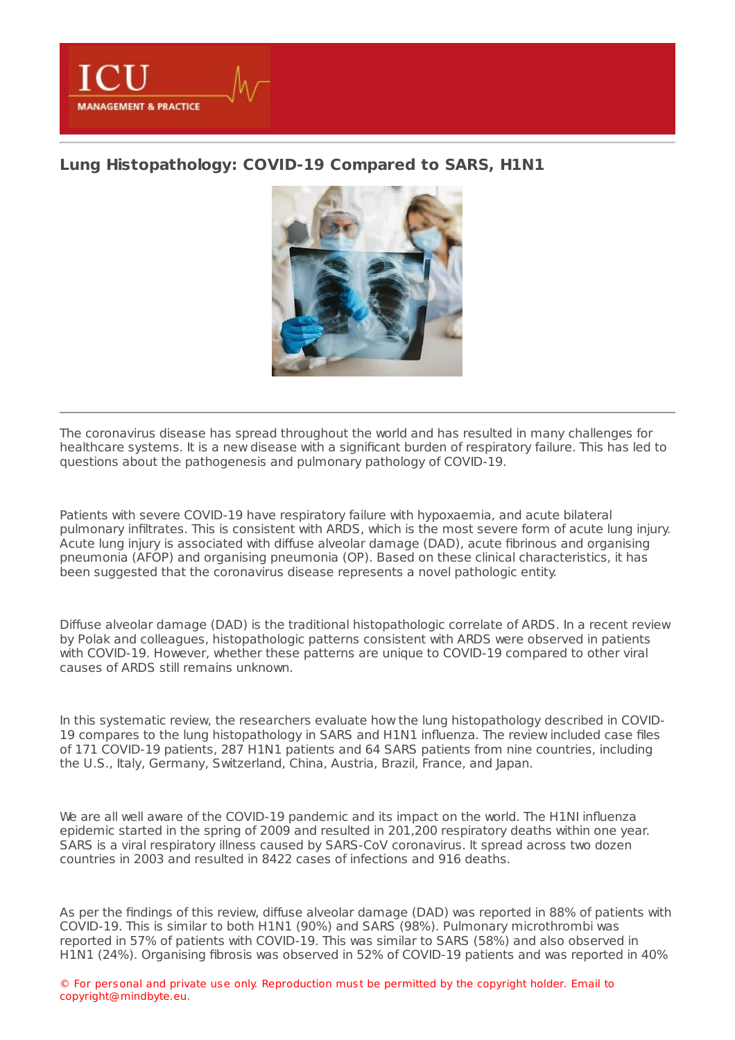

## **Lung [Histopathology:](https://healthmanagement.org/s/lung-histopathology-covid-19-compared-to-sars-h1n1) COVID-19 Compared to SARS, H1N1**



The coronavirus disease has spread throughout the world and has resulted in many challenges for healthcare systems. It is a new disease with a significant burden of respiratory failure. This has led to questions about the pathogenesis and pulmonary pathology of COVID-19.

Patients with severe COVID-19 have respiratory failure with hypoxaemia, and acute bilateral pulmonary infiltrates. This is consistent with ARDS, which is the most severe form of acute lung injury. Acute lung injury is associated with diffuse alveolar damage (DAD), acute fibrinous and organising pneumonia (AFOP) and organising pneumonia (OP). Based on these clinical characteristics, it has been suggested that the coronavirus disease represents a novel pathologic entity.

Diffuse alveolar damage (DAD) is the traditional histopathologic correlate of ARDS. In a recent review by Polak and colleagues, histopathologic patterns consistent with ARDS were observed in patients with COVID-19. However, whether these patterns are unique to COVID-19 compared to other viral causes of ARDS still remains unknown.

In this systematic review, the researchers evaluate how the lung histopathology described in COVID-19 compares to the lung histopathology in SARS and H1N1 influenza. The review included case files of 171 COVID-19 patients, 287 H1N1 patients and 64 SARS patients from nine countries, including the U.S., Italy, Germany, Switzerland, China, Austria, Brazil, France, and Japan.

We are all well aware of the COVID-19 pandemic and its impact on the world. The H1NI influenza epidemic started in the spring of 2009 and resulted in 201,200 respiratory deaths within one year. SARS is a viral respiratory illness caused by SARS-CoV coronavirus. It spread across two dozen countries in 2003 and resulted in 8422 cases of infections and 916 deaths.

As per the findings of this review, diffuse alveolar damage (DAD) was reported in 88% of patients with COVID-19. This is similar to both H1N1 (90%) and SARS (98%). Pulmonary microthrombi was reported in 57% of patients with COVID-19. This was similar to SARS (58%) and also observed in H1N1 (24%). Organising fibrosis was observed in 52% of COVID-19 patients and was reported in 40%

© For personal and private use only. Reproduction must be permitted by the copyright holder. Email to copyright@mindbyte.eu.